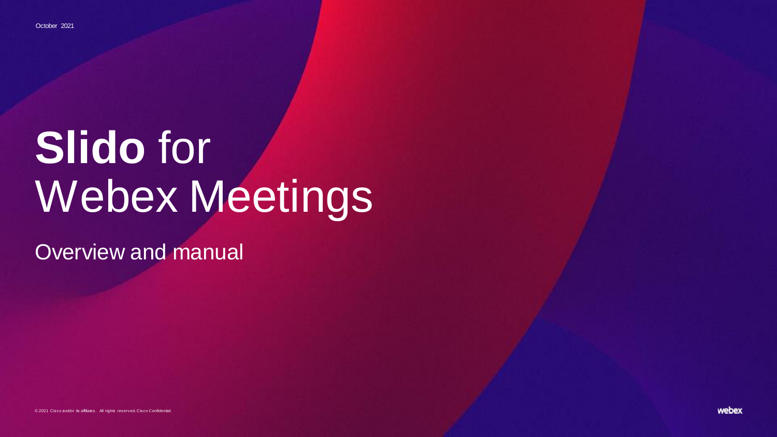# **Slido** for Webex Meetings

Overview and manual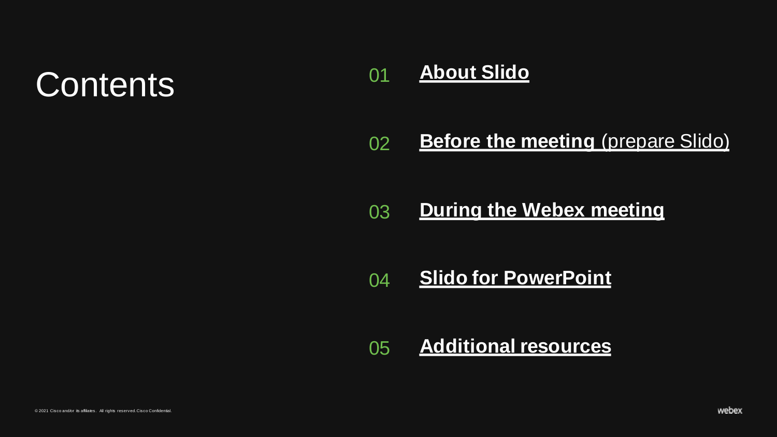# Contents 01

### **[About Slido](#page-2-0)**

#### 02 **[Before the meeting](#page-6-0) (prepare Slido)**

#### 03 **[During the Webex meeting](#page-14-0)**

#### 04 **[Slido for PowerPoint](#page-20-0)**

### 05 **[Additional resources](#page-25-0)**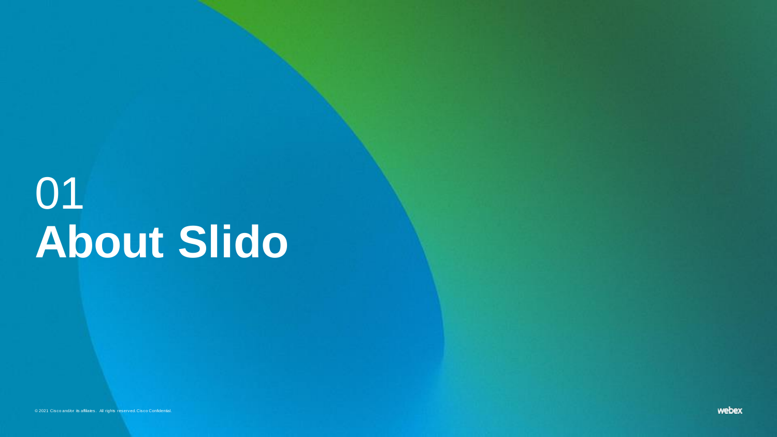# <span id="page-2-0"></span>01 **About Slido**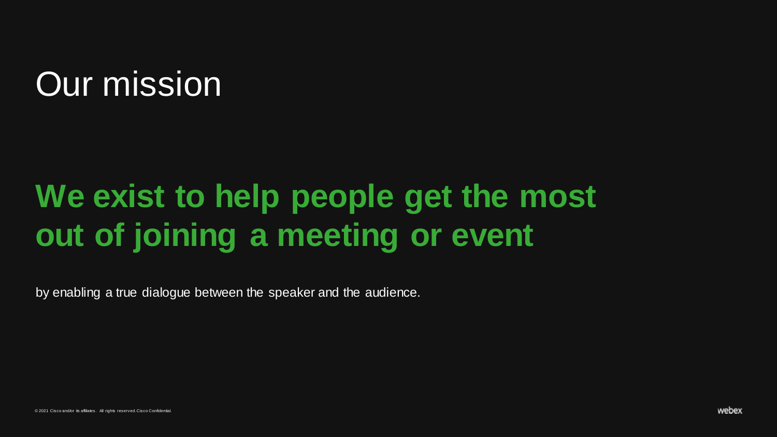# Our mission

# **We exist to help people get the most out of joining a meeting or event**

by enabling a true dialogue between the speaker and the audience.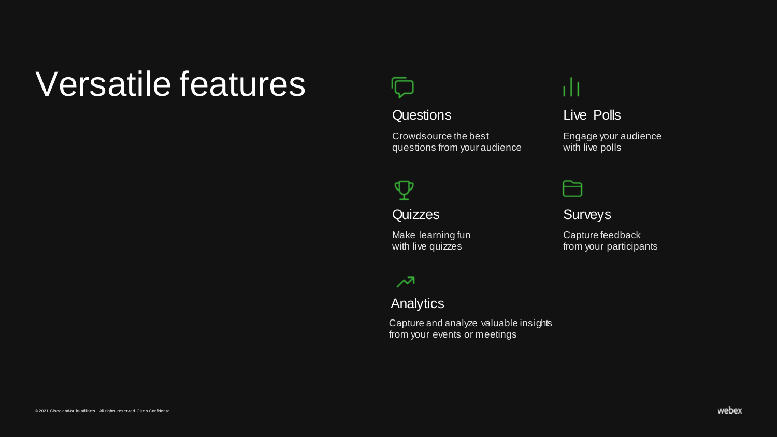# Versatile features



#### Questions

Crowdsource the best questions from your audience

### Ψ

**Quizzes** 

Make learning fun with live quizzes

### $\lambda$

**Analytics** 

Capture and analyze valuable insights from your events or meetings

### тH

### Live Polls

Engage your audience with live polls

| _____<br>and the state of the state of the state of the state of the state of the state of the state of the state of th | _ |  |
|-------------------------------------------------------------------------------------------------------------------------|---|--|
|                                                                                                                         |   |  |
|                                                                                                                         |   |  |
|                                                                                                                         |   |  |

### **Surveys**

Capture feedback from your participants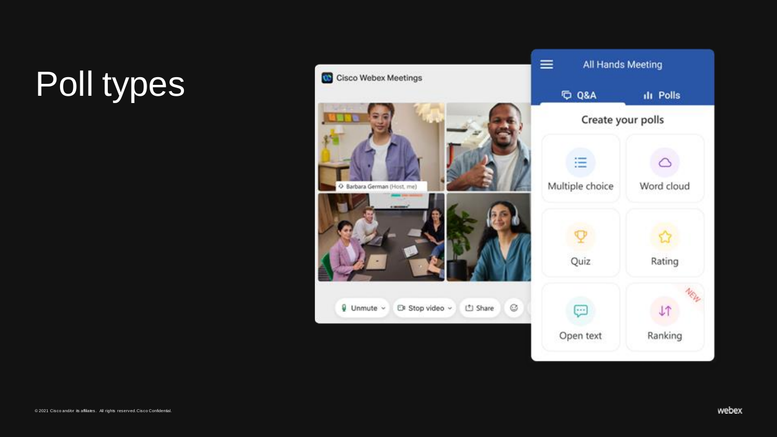# Poll types

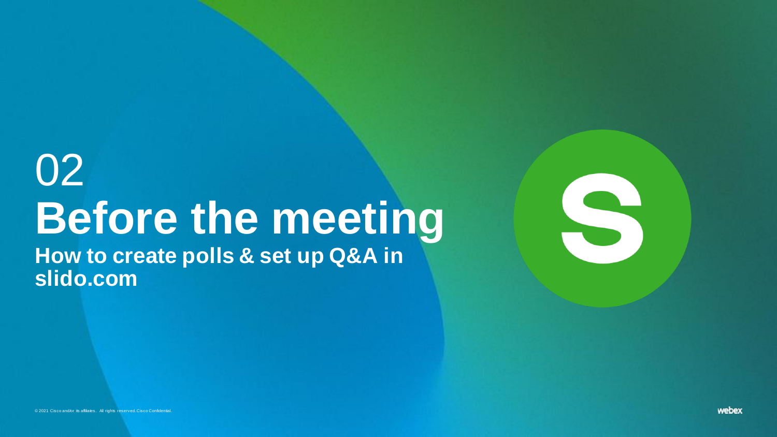# 02 **Before the meeting**

<span id="page-6-0"></span>**How to create polls & set up Q&A in slido.com**

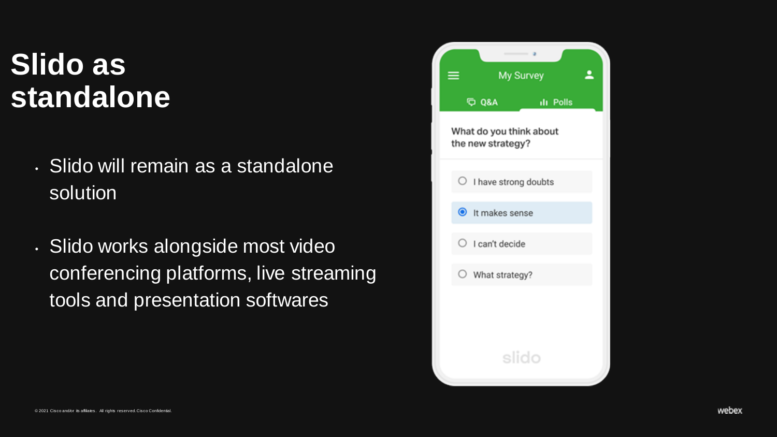## **Slido as standalone**

- Slido will remain as a standalone solution
- Slido works alongside most video conferencing platforms, live streaming tools and presentation softwares

| ≡. |                                              | My Survey        | ఽ |
|----|----------------------------------------------|------------------|---|
|    | <b>DO Q&amp;A</b>                            | <b>Ill Polls</b> |   |
|    | What do you think about<br>the new strategy? |                  |   |
|    | $\bigcirc$ I have strong doubts              |                  |   |
|    | t makes sense                                |                  |   |
|    | $\bigcirc$ I can't decide                    |                  |   |
|    | $\bigcirc$ What strategy?                    |                  |   |
|    |                                              |                  |   |
|    |                                              |                  |   |
|    |                                              | slido            |   |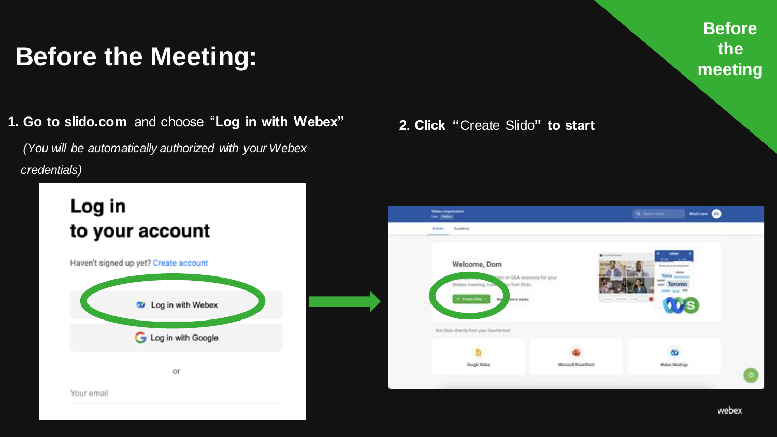## **Before the Meeting:**

**1. Go to slido.com** and choose "Log in with Webex" 2. Click "Create Slido" to start

*(You will be automatically authorized with your Webex credentials)*





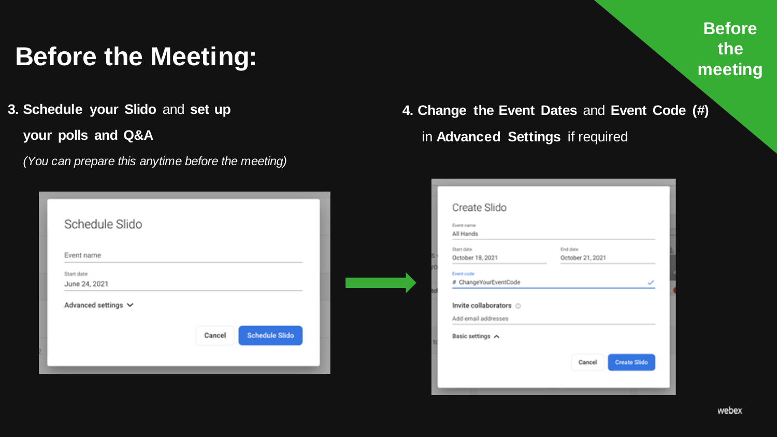## **Before the Meeting:**

- **3. Schedule your Slido** and **set up your polls and Q&A**
	- *(You can prepare this anytime before the meeting)*

| Schedule Slido              |                                 |
|-----------------------------|---------------------------------|
| Event name                  |                                 |
| Start date<br>June 24, 2021 |                                 |
| Advanced settings V         |                                 |
|                             | <b>Schedule Slido</b><br>Cancel |
|                             |                                 |

**4. Change the Event Dates** and **Event Code (#)**  in **Advanced Settings** if required

| All Hands<br>Start date<br>October 18, 2021<br>Event code | End date<br>October 21, 2021 |
|-----------------------------------------------------------|------------------------------|
|                                                           |                              |
|                                                           |                              |
|                                                           |                              |
|                                                           |                              |
| # ChangeYourEventCode                                     |                              |
|                                                           |                              |
| Invite collaborators @                                    |                              |
| Add email addresses                                       |                              |
|                                                           |                              |
|                                                           |                              |
| Basic settings A                                          |                              |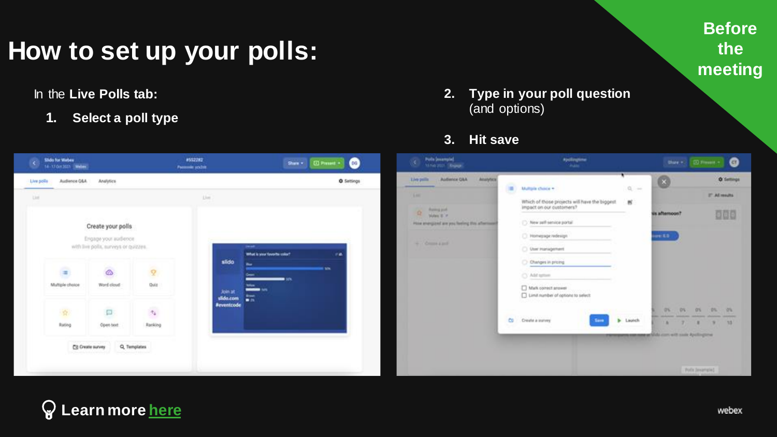### **How to set up your polls:**

In the **Live Polls tab:**

**1. Select a poll type**



#### **3. Hit save**

| ×          | Slido for Webex<br>14-17 D/I 3531 Weber |                                                              |                                                        | #552282<br>Personic smolter.                             | Share +                                   | $\bullet$<br><b>C</b> Present + | Polls (exempte)<br>3.<br>Mine 2011 Shippy                                                |          | <b>Applications</b><br><b>Chase</b>                                     |                                                                         |                |                 | third + [2] Here + | $\bullet$         |
|------------|-----------------------------------------|--------------------------------------------------------------|--------------------------------------------------------|----------------------------------------------------------|-------------------------------------------|---------------------------------|------------------------------------------------------------------------------------------|----------|-------------------------------------------------------------------------|-------------------------------------------------------------------------|----------------|-----------------|--------------------|-------------------|
| Live polls | <b>Judience OLA</b>                     | Analytics:                                                   |                                                        |                                                          |                                           | <b>Q</b> Settings               | Automoti D&A Abuytica<br>Live palls<br>_____                                             | a,       | Multiple choice +                                                       | $\Omega_{\rm c}$ -                                                      | a              |                 |                    | <b>O</b> Settings |
| List       |                                         |                                                              |                                                        | <b>Live</b>                                              |                                           |                                 | <b>SAFE</b>                                                                              |          | Which of those projects will have the biggest                           | $\mathcal{M}$                                                           |                |                 | IT All results     |                   |
|            |                                         | Create your polls                                            |                                                        |                                                          |                                           |                                 | <b>Running profit</b><br>×<br>Volvo 2 P<br>Hine energized are you having this afternoon? |          | impact on our customers?<br>New arthursica portal                       |                                                                         | tis afternoon? |                 |                    | 000               |
|            |                                         | Engage your audience<br>with live polls, surveys or quizzes. |                                                        | <b>Dealer</b><br>slido                                   | What is your favorite color?              | $\overline{r}$                  | w. Cheese a put-                                                                         |          | Honepage redesign<br>C User management<br>C: Changes in pricing         |                                                                         | $-0.8$ and     |                 |                    |                   |
|            | Ξ<br>Multiple choice                    | Ø<br>Word cloud                                              | $\overline{\mathbf{2}}$<br>Quitz                       | $\overline{\phantom{a}}$<br><b>Max</b><br><b>Join at</b> | $\overline{\phantom{a}}$<br>$\frac{1}{2}$ | <b>CON</b>                      |                                                                                          |          | C/ Ald spines<br>Bases tames Auto D<br>Unit number of options to select |                                                                         |                |                 |                    |                   |
|            | 收                                       | $\Box$                                                       | $\sigma_{\rm d}$                                       | 蒜<br>slido.com<br><b>Peyentcode</b>                      |                                           |                                 |                                                                                          | $\infty$ |                                                                         |                                                                         | $DL = DL$<br>- | $-0.5$          | 105 05             |                   |
|            | Rating                                  | Open text                                                    | Rankley                                                |                                                          |                                           |                                 |                                                                                          |          | Crewle a survey<br><b>Serve</b>                                         | <b>b</b> Leanch<br>personal comment of Make corre with main Apolloguese |                |                 |                    | 70                |
|            | <b>Chairs</b>                           | Cit Create survey                                            | Q. Templates<br>and all the state of the dealer in the |                                                          |                                           |                                 |                                                                                          |          |                                                                         |                                                                         |                | Polis Isvangie) |                    |                   |

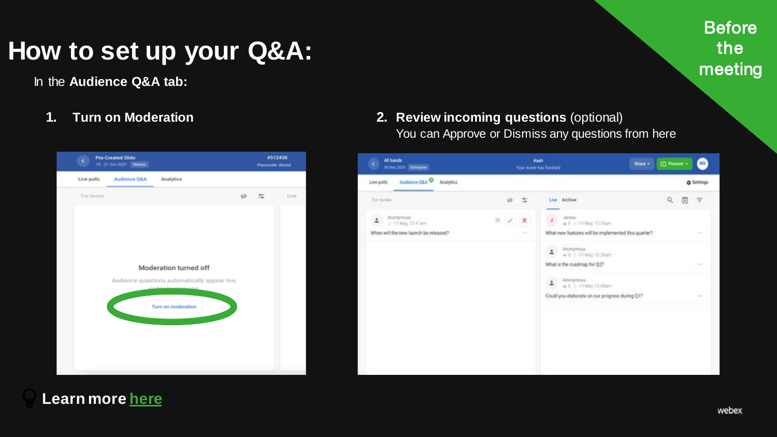## **How to set up your Q&A:**

In the **Audience Q&A tab:**

**1. Turn on Moderation**



**2. Review incoming questions** (optional) You can Approve or Dismiss any questions from here

| All hands<br>k.<br><b>SENAU SENI Enterprise</b>       |          |        | <b>Rash</b><br>Share +<br>Your event has finished              | <b>CO</b> Present - |   | <b>NV</b>         |
|-------------------------------------------------------|----------|--------|----------------------------------------------------------------|---------------------|---|-------------------|
| Audence OLA O Analytics<br>Live polite                |          |        |                                                                |                     |   | <b>O</b> Settings |
| For review                                            | <b>v</b> | 毒      | Live Andrew<br>--                                              | $\mathsf{Q}$        | ⊕ | 厚                 |
| $\Delta$<br>Anonymous.<br>Lann<br>- 0-11 May, 12:41am | Ň,       | ×      | Jantes:<br>$\mathsf{I}$<br>a II + 11 May 12 24pm               |                     |   |                   |
| When will the new launch be released?                 |          | $\sim$ | What new features will be implemented this quarter?            |                     |   |                   |
|                                                       |          |        | $\Delta$<br>Anonymous<br>$\approx 0$ $\approx$ 11 May (2.35am) |                     |   |                   |
|                                                       |          |        | What is the roadmap for Q2?                                    |                     |   | $\rightarrow$     |
|                                                       |          |        | Anonymous<br>ż<br>a 0 0 11 May 12:00am                         |                     |   |                   |
|                                                       |          |        | Could you elaborate on our progress during Q17                 |                     |   | $\sim$            |
|                                                       |          |        |                                                                |                     |   |                   |
|                                                       |          |        |                                                                |                     |   |                   |
|                                                       |          |        |                                                                |                     |   |                   |
|                                                       |          |        |                                                                |                     |   |                   |
|                                                       |          |        |                                                                |                     |   |                   |
|                                                       |          |        |                                                                |                     |   |                   |

### **Learn more [here](https://community.sli.do/audience-q-a-42/use-moderation-and-manage-audience-questions-477)**

**Before** the

meeting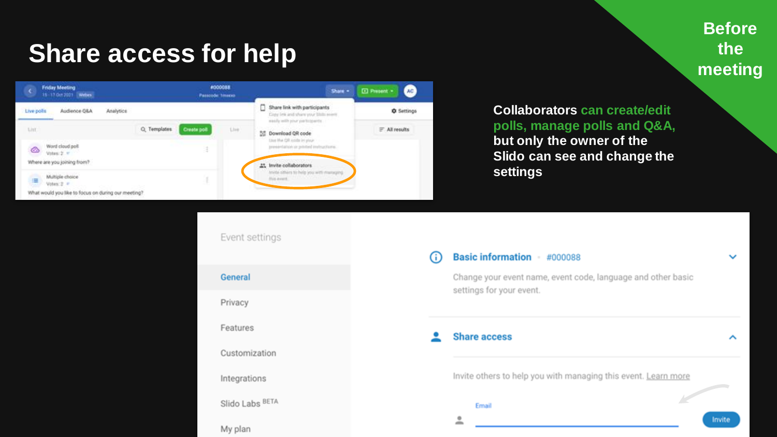## **Share access for help**

#### **Friday Meeting** #000088  $\alpha$ Share + D Present -15 17 Oct 2021 Webes Passcode Timero Share link with participants Audience Q&A Analytics **Q** Settings Live polls Copy lets and share your State search minify with your participants. List: Q. Templates Create poll Live. = All results 55 Download QR code Use the OR code in your Word cloud poll presierlation in printed indegetives. ٨ Volume 21 or Where are you joining from? 25 Invite collaborators trivite offices to help you with managing Multiple choice His aves. 津 Votes: 2 P What would you like to focus on during our meeting?

### **Before the meeting**

**Collaborators can create/edit polls, manage polls and Q&A, but only the owner of the Slido can see and change the settings**

Event settings

General

Privacy

Features

Customization

Integrations

Slido Labs BETA

My plan

#### Basic information #000088 G)

Change your event name, event code, language and other basic settings for your event.

**Share access** 

Invite others to help you with managing this event. Learn more

Email

 $\ddot{\phantom{a}}$ 

**All Congress** 

ㅅ

 $\checkmark$ 

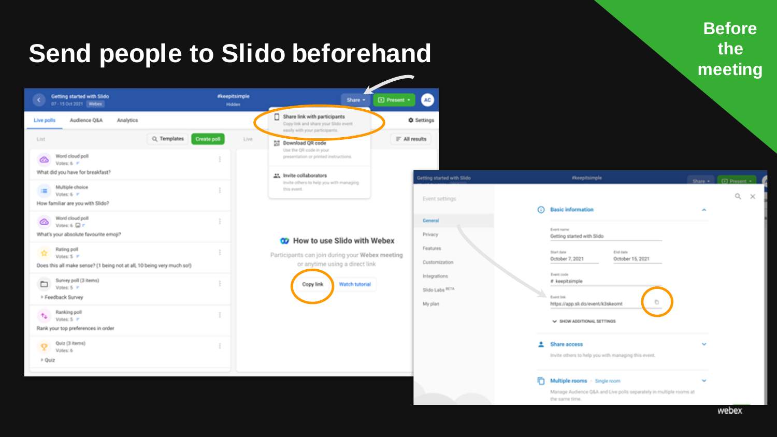#### **Send people to Slido beforehand** Getting started with Slido *<i>skeepitsimple* AC Share + **El Present +** 07 - 15 Oct 2021 Webex **Hidden** о Share link with participants Audience Q&A **Q** Settings Live polls Analytics Copy link and share your Slido event easily with your participants. Q Templates **Create poll**  $F$  All results List Live [1] Download QR code Use the OR code in your Word cloud poll presentation or printed instructions. ☎ Votes: 6 P What did you have for breakfast? At Invite collaborators Invite others to help you with managing Multiple choice this event. 廣 Votes: 6 P Even How familiar are you with Slido? Word cloud poll Gene ઢ Votes: 6  $\Box$   $\tau$ What's your absolute favourite emoil? Priva **CO** How to use Slido with Webex Rating poll Featu 會 Participants can join during your Webex meeting Votes: 5 P Custs or anytime using a direct link Does this all make sense? (1 being not at all, 10 being very much so!) Integ Survey poll (3 items) ▭ Copy link Watch tutorial Votes: 5 P Slide Feedback Survey Mypl Ranking poll 44 Votes: 5 F Rank your top preferences in order Quiz (3 items) Q Votes: 6 > Quiz

|                       |   | <u>a serie e de concerte de cor</u>                             |                                                                    | Share | <b>D</b> Present <b>*</b> |
|-----------------------|---|-----------------------------------------------------------------|--------------------------------------------------------------------|-------|---------------------------|
| nt settings           | ω | <b>Basic information</b>                                        |                                                                    | ×     | Q<br>$\times$             |
| lete                  |   |                                                                 |                                                                    |       |                           |
| KY                    |   | Event name<br>Getting started with Slido                        |                                                                    |       |                           |
| ures                  |   | Start date<br>October 7, 2021                                   | End date<br>October 15, 2021                                       |       |                           |
| omization<br>prations |   | Event code<br># keepitsimple                                    |                                                                    |       |                           |
| Labs <sup>BETA</sup>  |   | Event link                                                      | ō                                                                  |       |                           |
| ilan                  |   | https://app.sli.do/event/k3skeomt<br>V SHOW ADDITIONAL SETTINGS |                                                                    |       |                           |
|                       |   | Share access                                                    |                                                                    | w     |                           |
|                       |   |                                                                 | Invite others to help you with managing this event.                |       |                           |
|                       | r | Multiple rooms - Single room                                    |                                                                    |       |                           |
|                       |   | the same time.                                                  | Manage Audience Q&A and Live polls separately in multiple rooms at |       |                           |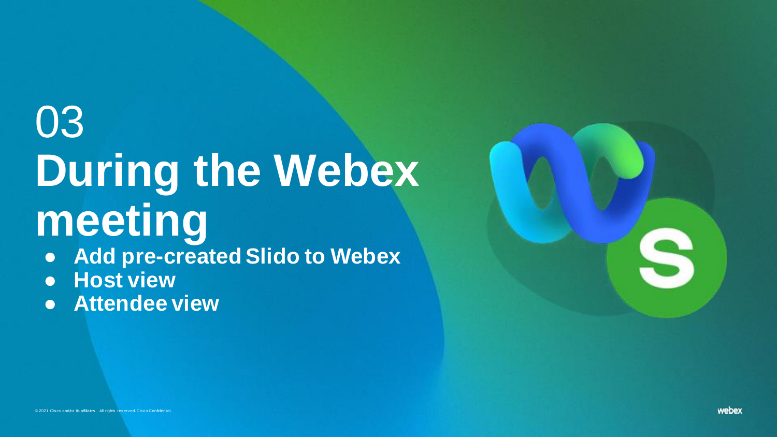# 03 **During the Webex meeting**

● **Add pre-created Slido to Webex** 

- **Host view**
- <span id="page-14-0"></span>● **Attendee view**

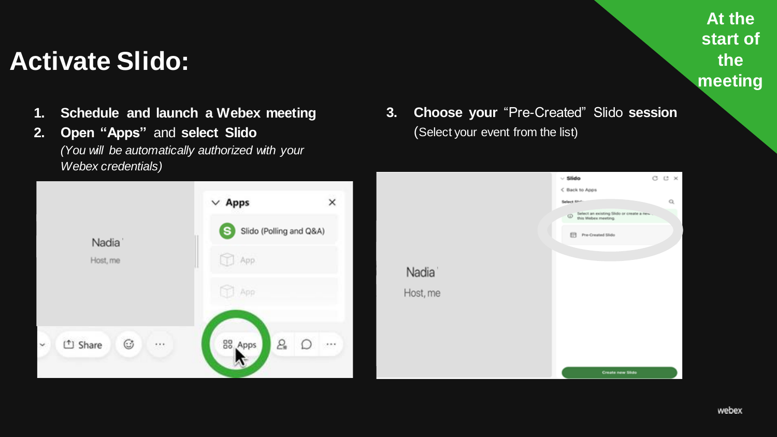### **Activate Slido:**

- **1. Schedule and launch a Webex meeting**
- **2. Open "Apps"** and **select Slido** *(You will be automatically authorized with your Webex credentials)*



**3. Choose your** "Pre-Created" Slido **session** (Select your event from the list)



**At the start of the** 

**meeting**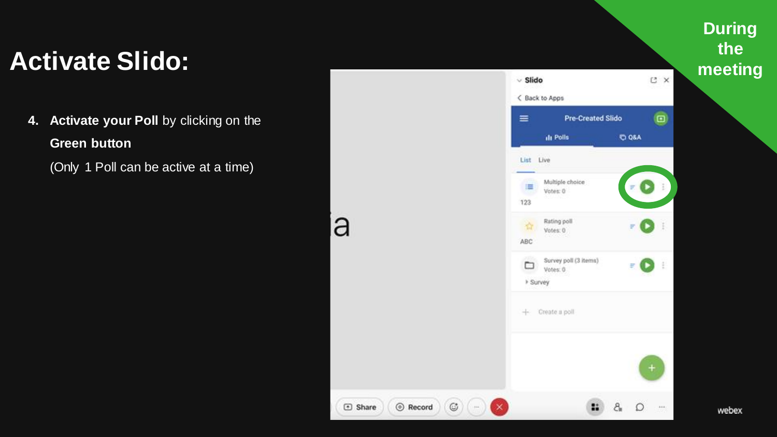# Activate Slido: *he***eding**

**4. Activate your Poll** by clicking on the **Green button** 

(Only 1 Poll can be active at a time)



a

# **During**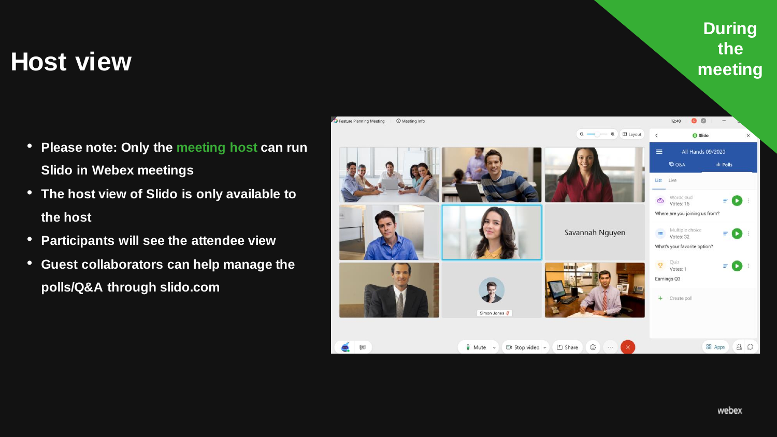# **During**

# **the host view the host** view **here here here here here here here here here here here here here here here here here here here here here here here here here here her**

- **Please note: Only the meeting host can run Slido in Webex meetings**
- **The host view of Slido is only available to the host**
- **Participants will see the attendee view**
- **Guest collaborators can help manage the polls/Q&A through slido.com**

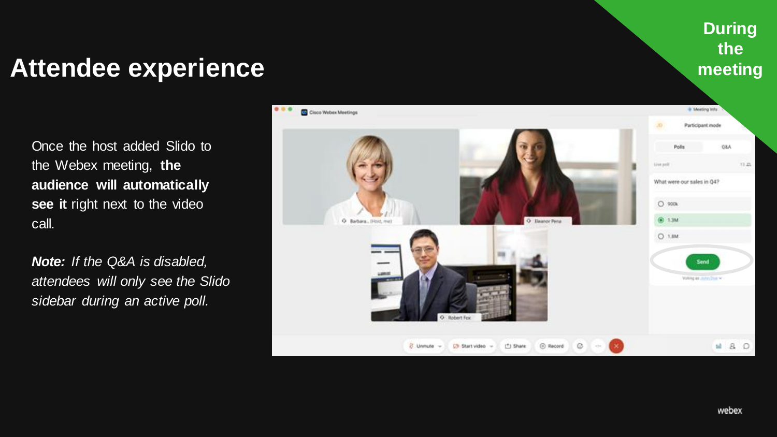### **During the meeting**

### **Attendee experience**

Once the host added Slido to the Webex meeting, **the audience will automatically see it** right next to the video call.

*Note: If the Q&A is disabled, attendees will only see the Slido sidebar during an active poll.*

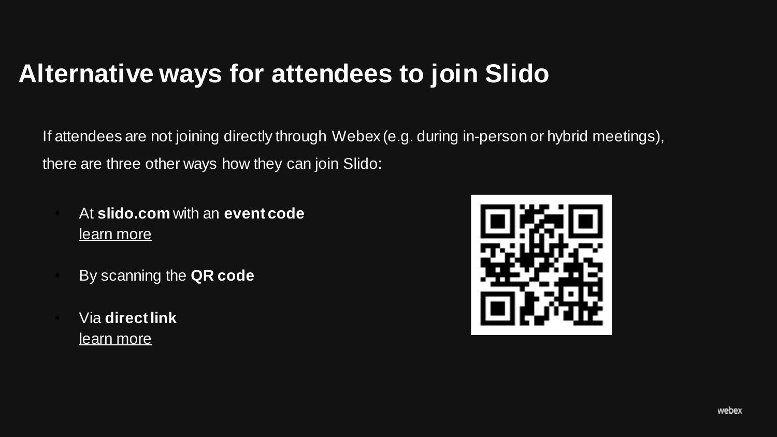### **Alternative ways for attendees to join Slido**

If attendees are not joining directly through Webex (e.g. during in-person or hybrid meetings), there are three other ways how they can join Slido:

- At **slido.com** with an **event code**  [learn more](https://community.sli.do/frequently-asked-questions-70/how-can-i-join-slido-as-a-participant-504)
- By scanning the **QR code**
- Via **direct link** [learn more](https://community.sli.do/running-a-slido-event-81/share-a-link-to-your-event-survey-or-poll-482)

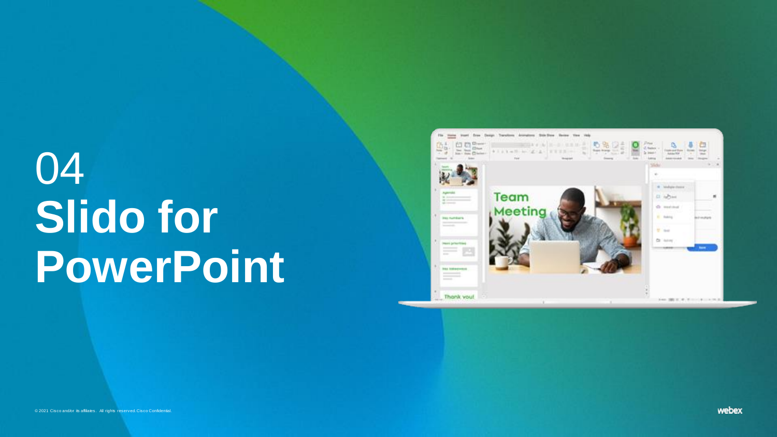# <span id="page-20-0"></span>04 **Slido for PowerPoint**

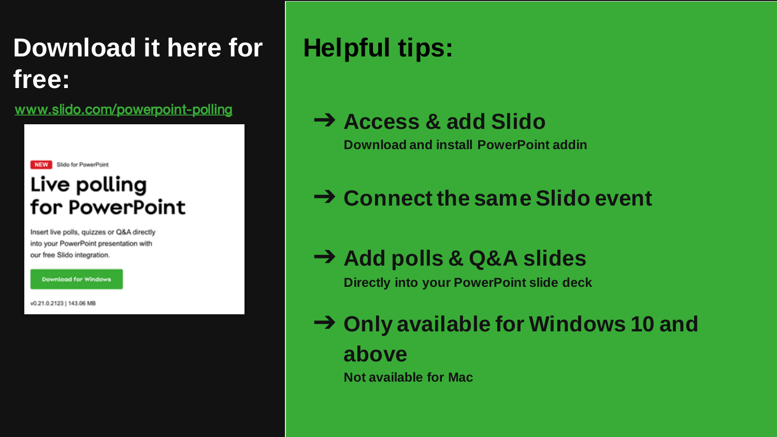## **Download it here for free:**

[www.slido.com/powerpoint-polling](https://www.sli.do/powerpoint-polling)



Insert live polls, quizzes or Q&A directly into your PowerPoint presentation with our free Slido integration.

**Download for Windows** 

v0.21.0.2123 | 143.06 MB

## **Helpful tips:**

➔ **Access & add Slido** 

**Download and install PowerPoint addin**

### ➔ **Connect the same Slido event**

➔ **Add polls & Q&A slides**

**Directly into your PowerPoint slide deck**

➔ **Only available for Windows 10 and above**

**Not available for Mac**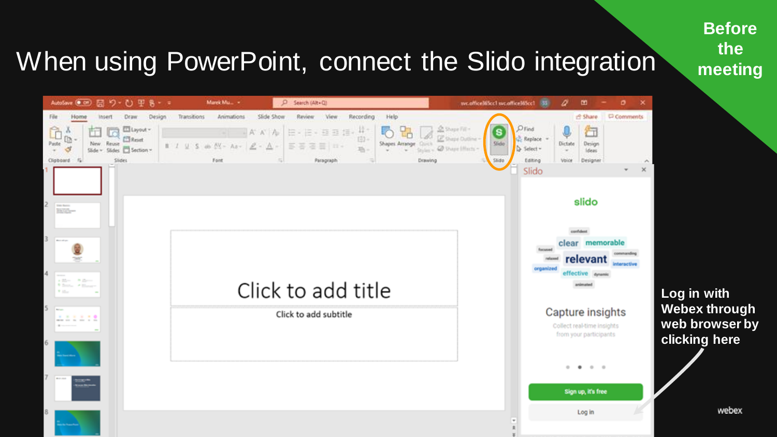**Before the meeting**

webex

## When using PowerPoint, connect the Slido integration

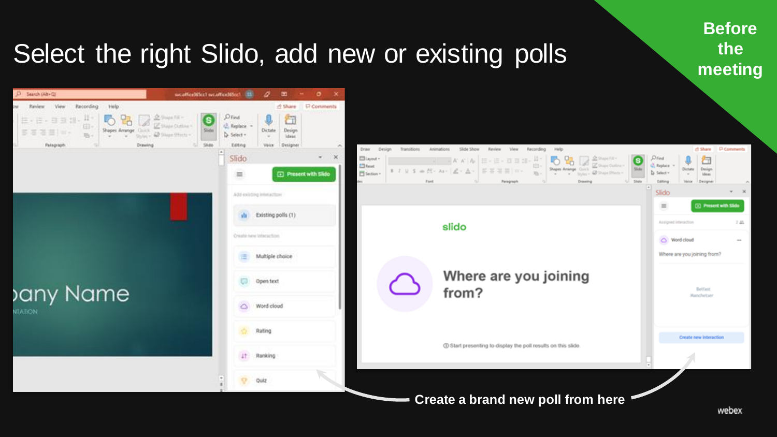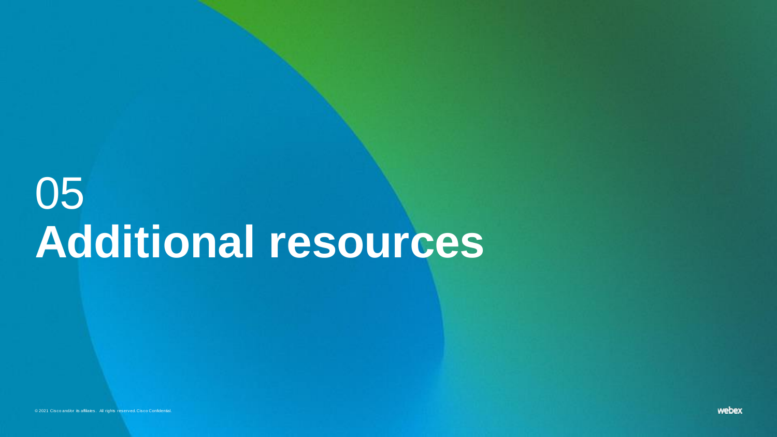# 05 **Additional resources**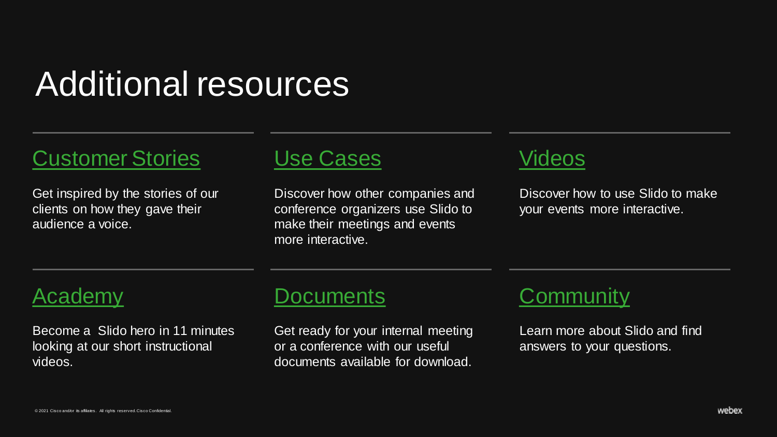## Additional resources

### [Customer Stories](hhttps://www.sli.do/customer-stories)

Get inspired by the stories of our clients on how they gave their audience a voice.



Discover how other companies and conference organizers use Slido to make their meetings and events more interactive.

### [Videos](https://www.sli.do/videos)

Discover how to use Slido to make your events more interactive.

### [Academy](https://youtube.com/playlist?list=PLqW1DqFnltOLiFdFX8hqHx6yQghM6tWfA)

<span id="page-25-0"></span>Become a Slido hero in 11 minutes looking at our short instructional videos.

### [Documents](https://www.sli.do/documents)

Get ready for your internal meeting or a conference with our useful documents available for download.



Learn more about Slido and find answers to your questions.